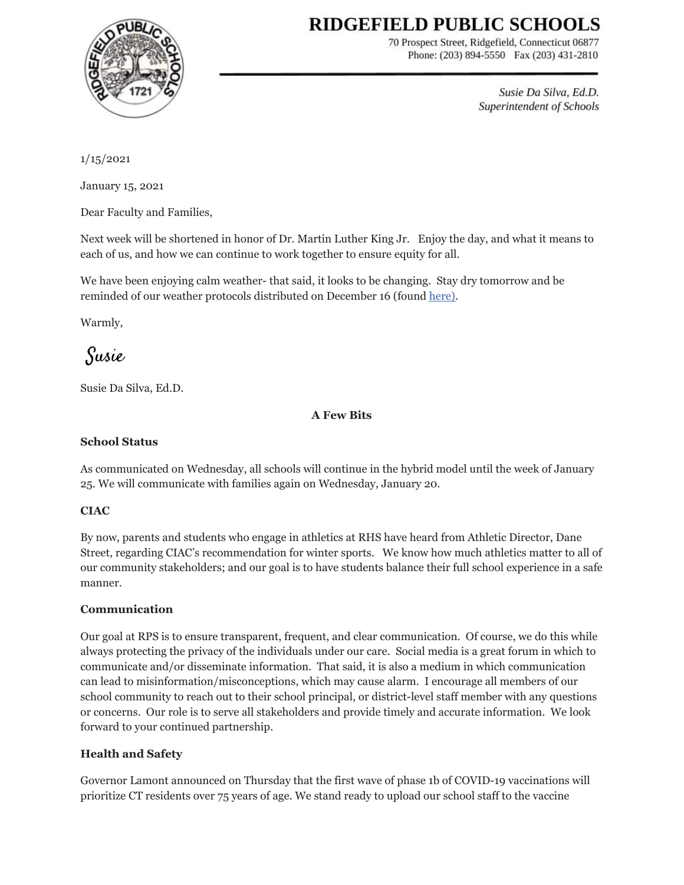# RIDGEFIELD PUBLIC SCHOOLS



70 Prospect Street, Ridgefield, Connecticut 06877 Phone: (203) 894-5550 Fax (203) 431-2810

> Susie Da Silva, Ed.D. Superintendent of Schools

1/15/2021

January 15, 2021

Dear Faculty and Families,

Next week will be shortened in honor of Dr. Martin Luther King Jr. Enjoy the day, and what it means to each of us, and how we can continue to work together to ensure equity for all.

We have been enjoying calm weather- that said, it looks to be changing. Stay dry tomorrow and be reminded of our weather protocols distributed on December 16 (found [here\).](https://docs.google.com/document/d/1McJP9jFqLMNm-gwiKV2HGkSKTUVB_mx_TUC2kqIFUFo/edit?usp=sharing)

Warmly,

Susie

Susie Da Silva, Ed.D.

**A Few Bits**

#### **School Status**

As communicated on Wednesday, all schools will continue in the hybrid model until the week of January 25. We will communicate with families again on Wednesday, January 20.

## **CIAC**

By now, parents and students who engage in athletics at RHS have heard from Athletic Director, Dane Street, regarding CIAC's recommendation for winter sports. We know how much athletics matter to all of our community stakeholders; and our goal is to have students balance their full school experience in a safe manner.

#### **Communication**

Our goal at RPS is to ensure transparent, frequent, and clear communication. Of course, we do this while always protecting the privacy of the individuals under our care. Social media is a great forum in which to communicate and/or disseminate information. That said, it is also a medium in which communication can lead to misinformation/misconceptions, which may cause alarm. I encourage all members of our school community to reach out to their school principal, or district-level staff member with any questions or concerns. Our role is to serve all stakeholders and provide timely and accurate information. We look forward to your continued partnership.

## **Health and Safety**

Governor Lamont announced on Thursday that the first wave of phase 1b of COVID-19 vaccinations will prioritize CT residents over 75 years of age. We stand ready to upload our school staff to the vaccine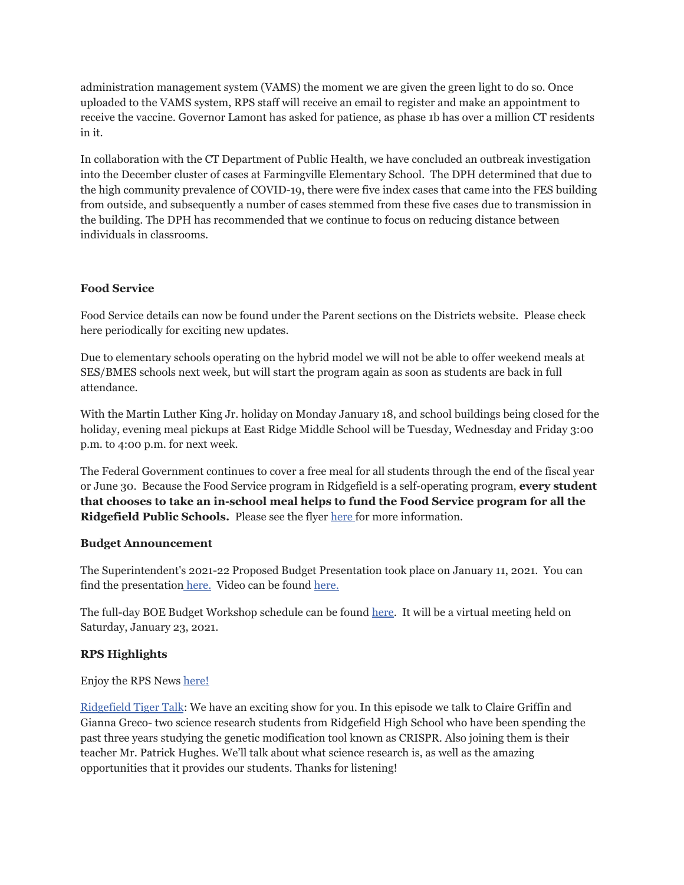administration management system (VAMS) the moment we are given the green light to do so. Once uploaded to the VAMS system, RPS staff will receive an email to register and make an appointment to receive the vaccine. Governor Lamont has asked for patience, as phase 1b has over a million CT residents in it.

In collaboration with the CT Department of Public Health, we have concluded an outbreak investigation into the December cluster of cases at Farmingville Elementary School. The DPH determined that due to the high community prevalence of COVID-19, there were five index cases that came into the FES building from outside, and subsequently a number of cases stemmed from these five cases due to transmission in the building. The DPH has recommended that we continue to focus on reducing distance between individuals in classrooms.

# **Food Service**

Food Service details can now be found under the Parent sections on the Districts website. Please check here periodically for exciting new updates.

Due to elementary schools operating on the hybrid model we will not be able to offer weekend meals at SES/BMES schools next week, but will start the program again as soon as students are back in full attendance.

With the Martin Luther King Jr. holiday on Monday January 18, and school buildings being closed for the holiday, evening meal pickups at East Ridge Middle School will be Tuesday, Wednesday and Friday 3:00 p.m. to 4:00 p.m. for next week.

The Federal Government continues to cover a free meal for all students through the end of the fiscal year or June 30. Because the Food Service program in Ridgefield is a self-operating program, **every student that chooses to take an in-school meal helps to fund the Food Service program for all the Ridgefield Public Schools.** Please see the flyer [here](https://drive.google.com/file/d/1naUZBie7ee6J6NMcCNGZ9Tai_SPuMnWC/view?usp=sharing) for more information.

## **Budget Announcement**

The Superintendent's 2021-22 Proposed Budget Presentation took place on January 11, 2021. You can find the presentation [here.](https://www.youtube.com/watch?v=7ePbAxY-54M) Video can be found here.

The full-day BOE Budget Workshop schedule can be found [here](https://drive.google.com/file/d/14BnT9i1UjEjS_OKXz0VwNsd33PucEYqS/view?usp=sharing). It will be a virtual meeting held on Saturday, January 23, 2021.

## **RPS Highlights**

Enjoy the RPS News [here!](https://docs.google.com/document/d/1ZdAmLS5z0iYIaKSGHM1-VERFqVBWw2XGrxjBnQrz0go/edit?usp=sharing)

[Ridgefield](https://sites.google.com/ridgefieldps.net/tigertalk/home) Tiger Talk: We have an exciting show for you. In this episode we talk to Claire Griffin and Gianna Greco- two science research students from Ridgefield High School who have been spending the past three years studying the genetic modification tool known as CRISPR. Also joining them is their teacher Mr. Patrick Hughes. We'll talk about what science research is, as well as the amazing opportunities that it provides our students. Thanks for listening!